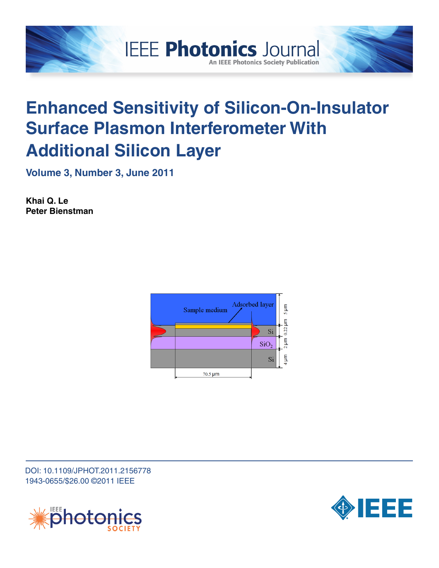

# **Enhanced Sensitivity of Silicon-On-Insulator Surface Plasmon Interferometer With Additional Silicon Layer**

**An IEEE Photonics Society Publication** 

**Volume 3, Number 3, June 2011**

**Khai Q. Le Peter Bienstman**



DOI: 10.1109/JPHOT.2011.2156778 1943-0655/\$26.00 ©2011 IEEE



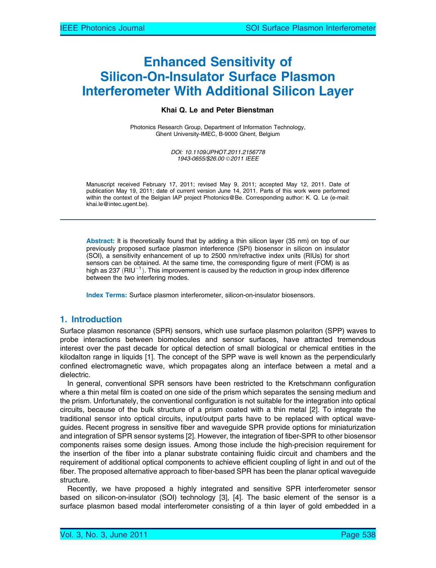# Enhanced Sensitivity of Silicon-On-Insulator Surface Plasmon Interferometer With Additional Silicon Layer

#### Khai Q. Le and Peter Bienstman

Photonics Research Group, Department of Information Technology, Ghent University-IMEC, B-9000 Ghent, Belgium

> DOI: 10.1109/JPHOT.2011.2156778 1943-0655/\$26.00 © 2011 IEEE

Manuscript received February 17, 2011; revised May 9, 2011; accepted May 12, 2011. Date of publication May 19, 2011; date of current version June 14, 2011. Parts of this work were performed within the context of the Belgian IAP project Photonics@Be. Corresponding author: K. Q. Le (e-mail: khai.le@intec.ugent.be).

Abstract: It is theoretically found that by adding a thin silicon layer (35 nm) on top of our previously proposed surface plasmon interference (SPI) biosensor in silicon on insulator (SOI), a sensitivity enhancement of up to 2500 nm/refractive index units (RIUs) for short sensors can be obtained. At the same time, the corresponding figure of merit (FOM) is as high as 237 (RIU $^{-1}$ ). This improvement is caused by the reduction in group index difference between the two interfering modes.

Index Terms: Surface plasmon interferometer, silicon-on-insulator biosensors.

## 1. Introduction

Surface plasmon resonance (SPR) sensors, which use surface plasmon polariton (SPP) waves to probe interactions between biomolecules and sensor surfaces, have attracted tremendous interest over the past decade for optical detection of small biological or chemical entities in the kilodalton range in liquids [1]. The concept of the SPP wave is well known as the perpendicularly confined electromagnetic wave, which propagates along an interface between a metal and a dielectric.

In general, conventional SPR sensors have been restricted to the Kretschmann configuration where a thin metal film is coated on one side of the prism which separates the sensing medium and the prism. Unfortunately, the conventional configuration is not suitable for the integration into optical circuits, because of the bulk structure of a prism coated with a thin metal [2]. To integrate the traditional sensor into optical circuits, input/output parts have to be replaced with optical waveguides. Recent progress in sensitive fiber and waveguide SPR provide options for miniaturization and integration of SPR sensor systems [2]. However, the integration of fiber-SPR to other biosensor components raises some design issues. Among those include the high-precision requirement for the insertion of the fiber into a planar substrate containing fluidic circuit and chambers and the requirement of additional optical components to achieve efficient coupling of light in and out of the fiber. The proposed alternative approach to fiber-based SPR has been the planar optical waveguide structure.

Recently, we have proposed a highly integrated and sensitive SPR interferometer sensor based on silicon-on-insulator (SOI) technology [3], [4]. The basic element of the sensor is a surface plasmon based modal interferometer consisting of a thin layer of gold embedded in a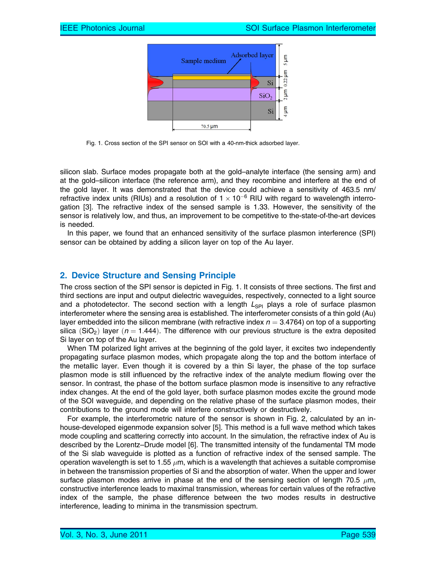

Fig. 1. Cross section of the SPI sensor on SOI with a 40-nm-thick adsorbed layer.

silicon slab. Surface modes propagate both at the gold–analyte interface (the sensing arm) and at the gold–silicon interface (the reference arm), and they recombine and interfere at the end of the gold layer. It was demonstrated that the device could achieve a sensitivity of 463.5 nm/ refractive index units (RIUs) and a resolution of  $1 \times 10^{-6}$  RIU with regard to wavelength interrogation [3]. The refractive index of the sensed sample is 1.33. However, the sensitivity of the sensor is relatively low, and thus, an improvement to be competitive to the-state-of-the-art devices is needed.

In this paper, we found that an enhanced sensitivity of the surface plasmon interference (SPI) sensor can be obtained by adding a silicon layer on top of the Au layer.

# 2. Device Structure and Sensing Principle

The cross section of the SPI sensor is depicted in Fig. 1. It consists of three sections. The first and third sections are input and output dielectric waveguides, respectively, connected to a light source and a photodetector. The second section with a length  $L_{SPI}$  plays a role of surface plasmon interferometer where the sensing area is established. The interferometer consists of a thin gold (Au) layer embedded into the silicon membrane (with refractive index  $n = 3.4764$ ) on top of a supporting silica (SiO<sub>2</sub>) layer ( $n = 1.444$ ). The difference with our previous structure is the extra deposited Si layer on top of the Au layer.

When TM polarized light arrives at the beginning of the gold layer, it excites two independently propagating surface plasmon modes, which propagate along the top and the bottom interface of the metallic layer. Even though it is covered by a thin Si layer, the phase of the top surface plasmon mode is still influenced by the refractive index of the analyte medium flowing over the sensor. In contrast, the phase of the bottom surface plasmon mode is insensitive to any refractive index changes. At the end of the gold layer, both surface plasmon modes excite the ground mode of the SOI waveguide, and depending on the relative phase of the surface plasmon modes, their contributions to the ground mode will interfere constructively or destructively.

For example, the interferometric nature of the sensor is shown in Fig. 2, calculated by an inhouse-developed eigenmode expansion solver [5]. This method is a full wave method which takes mode coupling and scattering correctly into account. In the simulation, the refractive index of Au is described by the Lorentz–Drude model [6]. The transmitted intensity of the fundamental TM mode of the Si slab waveguide is plotted as a function of refractive index of the sensed sample. The operation wavelength is set to 1.55  $\mu$ m, which is a wavelength that achieves a suitable compromise in between the transmission properties of Si and the absorption of water. When the upper and lower surface plasmon modes arrive in phase at the end of the sensing section of length 70.5  $\mu$ m, constructive interference leads to maximal transmission, whereas for certain values of the refractive index of the sample, the phase difference between the two modes results in destructive interference, leading to minima in the transmission spectrum.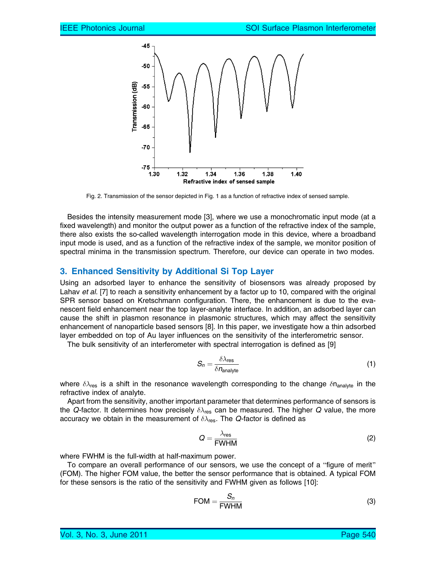

Fig. 2. Transmission of the sensor depicted in Fig. 1 as a function of refractive index of sensed sample.

Besides the intensity measurement mode [3], where we use a monochromatic input mode (at a fixed wavelength) and monitor the output power as a function of the refractive index of the sample, there also exists the so-called wavelength interrogation mode in this device, where a broadband input mode is used, and as a function of the refractive index of the sample, we monitor position of spectral minima in the transmission spectrum. Therefore, our device can operate in two modes.

#### 3. Enhanced Sensitivity by Additional Si Top Layer

Using an adsorbed layer to enhance the sensitivity of biosensors was already proposed by Lahav et al. [7] to reach a sensitivity enhancement by a factor up to 10, compared with the original SPR sensor based on Kretschmann configuration. There, the enhancement is due to the evanescent field enhancement near the top layer-analyte interface. In addition, an adsorbed layer can cause the shift in plasmon resonance in plasmonic structures, which may affect the sensitivity enhancement of nanoparticle based sensors [8]. In this paper, we investigate how a thin adsorbed layer embedded on top of Au layer influences on the sensitivity of the interferometric sensor.

The bulk sensitivity of an interferometer with spectral interrogation is defined as [9]

$$
S_n = \frac{\delta \lambda_{\text{res}}}{\delta n_{\text{analyte}}}
$$
 (1)

where  $\delta\lambda_{\rm res}$  is a shift in the resonance wavelength corresponding to the change  $\delta n_{\rm analytic}$  in the refractive index of analyte.

Apart from the sensitivity, another important parameter that determines performance of sensors is the Q-factor. It determines how precisely  $\delta\lambda_{\rm res}$  can be measured. The higher Q value, the more accuracy we obtain in the measurement of  $\delta\lambda_{\rm res}$ . The Q-factor is defined as

$$
Q = \frac{\lambda_{\text{res}}}{\text{FWHM}}\tag{2}
$$

where FWHM is the full-width at half-maximum power.

To compare an overall performance of our sensors, we use the concept of a "figure of merit" (FOM). The higher FOM value, the better the sensor performance that is obtained. A typical FOM for these sensors is the ratio of the sensitivity and FWHM given as follows [10]:

$$
FOM = \frac{S_n}{FWHM}
$$
 (3)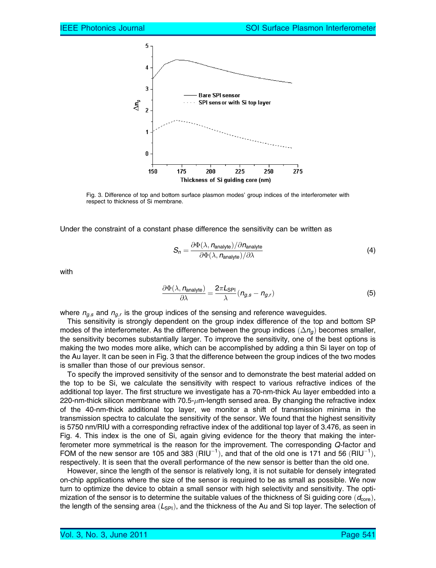

Fig. 3. Difference of top and bottom surface plasmon modes' group indices of the interferometer with respect to thickness of Si membrane.

Under the constraint of a constant phase difference the sensitivity can be written as

$$
S_n = \frac{\partial \Phi(\lambda, n_{\text{analyte}})/\partial n_{\text{analyte}}}{\partial \Phi(\lambda, n_{\text{analyte}})/\partial \lambda}
$$
(4)

with

$$
\frac{\partial \Phi(\lambda, n_{\text{analyte}})}{\partial \lambda} = \frac{2\pi L_{\text{SPI}}}{\lambda} (n_{g,s} - n_{g,r})
$$
(5)

where  $n_{g,s}$  and  $n_{g,r}$  is the group indices of the sensing and reference waveguides.

This sensitivity is strongly dependent on the group index difference of the top and bottom SP modes of the interferometer. As the difference between the group indices  $(\Delta n_q)$  becomes smaller, the sensitivity becomes substantially larger. To improve the sensitivity, one of the best options is making the two modes more alike, which can be accomplished by adding a thin Si layer on top of the Au layer. It can be seen in Fig. 3 that the difference between the group indices of the two modes is smaller than those of our previous sensor.

To specify the improved sensitivity of the sensor and to demonstrate the best material added on the top to be Si, we calculate the sensitivity with respect to various refractive indices of the additional top layer. The first structure we investigate has a 70-nm-thick Au layer embedded into a 220-nm-thick silicon membrane with 70.5- $\mu$ m-length sensed area. By changing the refractive index of the 40-nm-thick additional top layer, we monitor a shift of transmission minima in the transmission spectra to calculate the sensitivity of the sensor. We found that the highest sensitivity is 5750 nm/RIU with a corresponding refractive index of the additional top layer of 3.476, as seen in Fig. 4. This index is the one of Si, again giving evidence for the theory that making the interferometer more symmetrical is the reason for the improvement. The corresponding Q-factor and FOM of the new sensor are 105 and 383 (RIU<sup>-1</sup>), and that of the old one is 171 and 56 (RIU<sup>-1</sup>), respectively. It is seen that the overall performance of the new sensor is better than the old one.

However, since the length of the sensor is relatively long, it is not suitable for densely integrated on-chip applications where the size of the sensor is required to be as small as possible. We now turn to optimize the device to obtain a small sensor with high selectivity and sensitivity. The optimization of the sensor is to determine the suitable values of the thickness of Si guiding core  $(d_{\text{core}})$ , the length of the sensing area  $(L_{\text{SPI}})$ , and the thickness of the Au and Si top layer. The selection of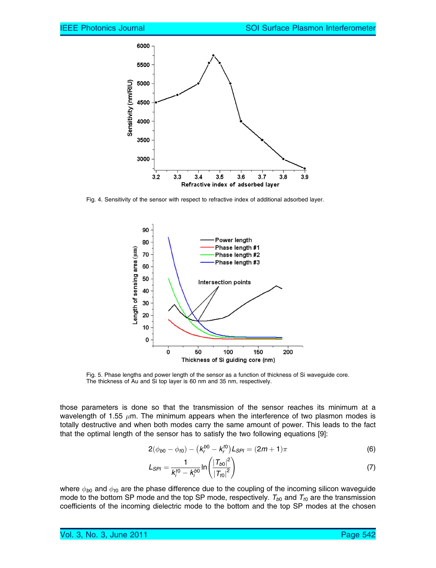

Fig. 4. Sensitivity of the sensor with respect to refractive index of additional adsorbed layer.



Fig. 5. Phase lengths and power length of the sensor as a function of thickness of Si waveguide core. The thickness of Au and Si top layer is 60 nm and 35 nm, respectively.

those parameters is done so that the transmission of the sensor reaches its minimum at a wavelength of 1.55  $\mu$ m. The minimum appears when the interference of two plasmon modes is totally destructive and when both modes carry the same amount of power. This leads to the fact that the optimal length of the sensor has to satisfy the two following equations [9]:

$$
2(\phi_{b0} - \phi_{t0}) - (k_r^{b0} - k_r^{t0})L_{SPI} = (2m + 1)\pi
$$
 (6)

$$
L_{SPI} = \frac{1}{k_i^{t0} - k_i^{b0}} \ln \left( \frac{|T_{b0}|^2}{|T_{t0}|^2} \right)
$$
 (7)

where  $\phi_{b0}$  and  $\phi_{t0}$  are the phase difference due to the coupling of the incoming silicon waveguide mode to the bottom SP mode and the top SP mode, respectively.  $T_{b0}$  and  $T_{t0}$  are the transmission coefficients of the incoming dielectric mode to the bottom and the top SP modes at the chosen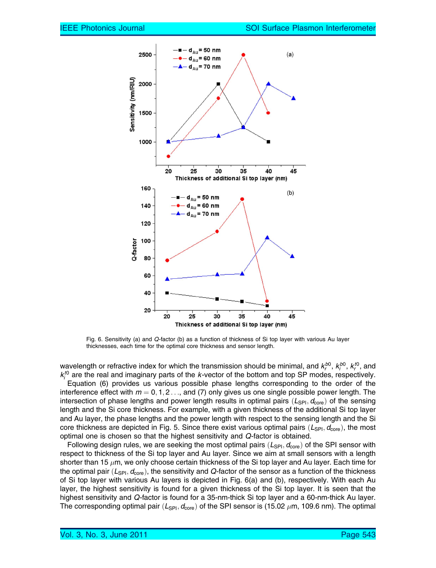

Fig. 6. Sensitivity (a) and Q-factor (b) as a function of thickness of Si top layer with various Au layer thicknesses, each time for the optimal core thickness and sensor length.

wavelength or refractive index for which the transmission should be minimal, and  $k^{b0}_r$ ,  $k^{b0}_i$ ,  $k^{t0}_r$ , and  $k_i^{t0}$  are the real and imaginary parts of the k-vector of the bottom and top SP modes, respectively.

Equation (6) provides us various possible phase lengths corresponding to the order of the interference effect with  $m = 0, 1, 2, \ldots$ , and (7) only gives us one single possible power length. The intersection of phase lengths and power length results in optimal pairs  $(L_{\text{SPI}}, d_{\text{core}})$  of the sensing length and the Si core thickness. For example, with a given thickness of the additional Si top layer and Au layer, the phase lengths and the power length with respect to the sensing length and the Si core thickness are depicted in Fig. 5. Since there exist various optimal pairs  $(L_{\text{SPI}}, d_{\text{core}})$ , the most optimal one is chosen so that the highest sensitivity and Q-factor is obtained.

Following design rules, we are seeking the most optimal pairs  $(L_{\text{SPI}}, d_{\text{core}})$  of the SPI sensor with respect to thickness of the Si top layer and Au layer. Since we aim at small sensors with a length shorter than 15  $\mu$ m, we only choose certain thickness of the Si top layer and Au layer. Each time for the optimal pair  $(L_{\text{SPI}}, d_{\text{core}})$ , the sensitivity and Q-factor of the sensor as a function of the thickness of Si top layer with various Au layers is depicted in Fig. 6(a) and (b), respectively. With each Au layer, the highest sensitivity is found for a given thickness of the Si top layer. It is seen that the highest sensitivity and Q-factor is found for a 35-nm-thick Si top layer and a 60-nm-thick Au layer. The corresponding optimal pair  $(L_{\mathsf{SPI}}, d_{\mathsf{core}})$  of the SPI sensor is (15.02  $\mu$ m, 109.6 nm). The optimal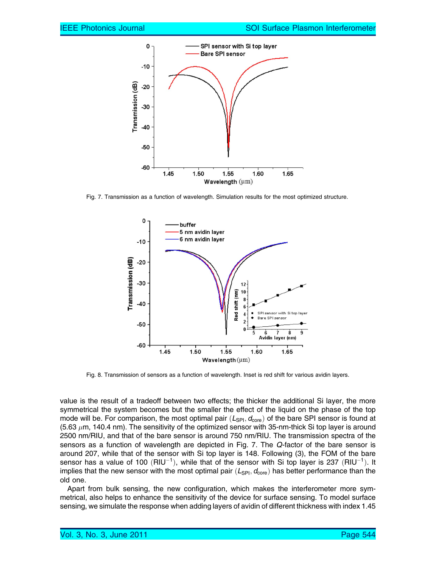

Fig. 7. Transmission as a function of wavelength. Simulation results for the most optimized structure.



Fig. 8. Transmission of sensors as a function of wavelength. Inset is red shift for various avidin layers.

value is the result of a tradeoff between two effects; the thicker the additional Si layer, the more symmetrical the system becomes but the smaller the effect of the liquid on the phase of the top mode will be. For comparison, the most optimal pair  $(L_{\text{SPI}}, d_{\text{core}})$  of the bare SPI sensor is found at (5.63  $\mu$ m, 140.4 nm). The sensitivity of the optimized sensor with 35-nm-thick Si top layer is around 2500 nm/RIU, and that of the bare sensor is around 750 nm/RIU. The transmission spectra of the sensors as a function of wavelength are depicted in Fig. 7. The Q-factor of the bare sensor is around 207, while that of the sensor with Si top layer is 148. Following (3), the FOM of the bare sensor has a value of 100  $(RIU^{-1})$ , while that of the sensor with Si top layer is 237  $(RIU^{-1})$ . It implies that the new sensor with the most optimal pair  $(L_{\text{SPI}}, d_{\text{core}})$  has better performance than the old one.

Apart from bulk sensing, the new configuration, which makes the interferometer more symmetrical, also helps to enhance the sensitivity of the device for surface sensing. To model surface sensing, we simulate the response when adding layers of avidin of different thickness with index 1.45